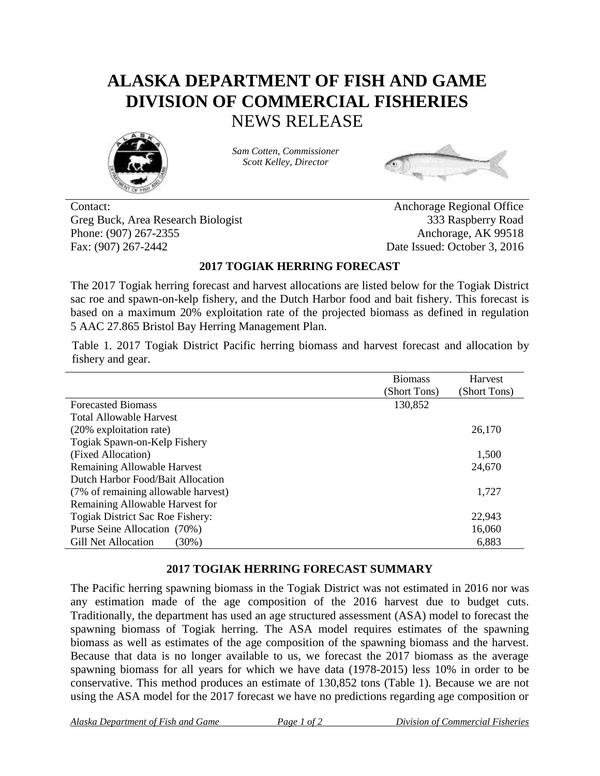## **ALASKA DEPARTMENT OF FISH AND GAME DIVISION OF COMMERCIAL FISHERIES** NEWS RELEASE



*Sam Cotten, Commissioner Scott Kelley, Director*



Contact: Anchorage Regional Office Greg Buck, Area Research Biologist 333 Raspberry Road Phone: (907) 267-2355 Anchorage, AK 99518 Fax: (907) 267-2442 Date Issued: October 3, 2016

## **2017 TOGIAK HERRING FORECAST**

The 2017 Togiak herring forecast and harvest allocations are listed below for the Togiak District sac roe and spawn-on-kelp fishery, and the Dutch Harbor food and bait fishery. This forecast is based on a maximum 20% exploitation rate of the projected biomass as defined in regulation 5 AAC 27.865 Bristol Bay Herring Management Plan.

Table 1. 2017 Togiak District Pacific herring biomass and harvest forecast and allocation by fishery and gear.

|                                        | <b>Biomass</b> | Harvest      |
|----------------------------------------|----------------|--------------|
|                                        | (Short Tons)   | (Short Tons) |
| <b>Forecasted Biomass</b>              | 130,852        |              |
| <b>Total Allowable Harvest</b>         |                |              |
| (20% exploitation rate)                |                | 26,170       |
| Togiak Spawn-on-Kelp Fishery           |                |              |
| (Fixed Allocation)                     |                | 1,500        |
| <b>Remaining Allowable Harvest</b>     |                | 24,670       |
| Dutch Harbor Food/Bait Allocation      |                |              |
| (7% of remaining allowable harvest)    |                | 1,727        |
| Remaining Allowable Harvest for        |                |              |
| Togiak District Sac Roe Fishery:       |                | 22,943       |
| Purse Seine Allocation (70%)           |                | 16,060       |
| <b>Gill Net Allocation</b><br>$(30\%)$ |                | 6,883        |

## **2017 TOGIAK HERRING FORECAST SUMMARY**

The Pacific herring spawning biomass in the Togiak District was not estimated in 2016 nor was any estimation made of the age composition of the 2016 harvest due to budget cuts. Traditionally, the department has used an age structured assessment (ASA) model to forecast the spawning biomass of Togiak herring. The ASA model requires estimates of the spawning biomass as well as estimates of the age composition of the spawning biomass and the harvest. Because that data is no longer available to us, we forecast the 2017 biomass as the average spawning biomass for all years for which we have data (1978-2015) less 10% in order to be conservative. This method produces an estimate of 130,852 tons (Table 1). Because we are not using the ASA model for the 2017 forecast we have no predictions regarding age composition or

*Alaska Department of Fish and Game Page 1 of 2 Division of Commercial Fisheries*